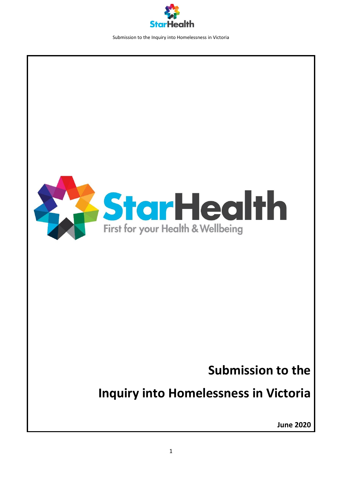



## **Submission to the**

# **Inquiry into Homelessness in Victoria**

**June 2020**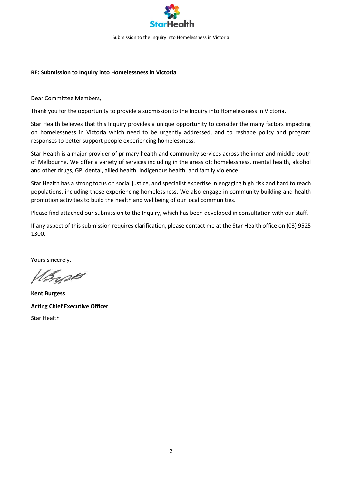

#### **RE: Submission to Inquiry into Homelessness in Victoria**

Dear Committee Members,

Thank you for the opportunity to provide a submission to the Inquiry into Homelessness in Victoria.

Star Health believes that this Inquiry provides a unique opportunity to consider the many factors impacting on homelessness in Victoria which need to be urgently addressed, and to reshape policy and program responses to better support people experiencing homelessness.

Star Health is a major provider of primary health and community services across the inner and middle south of Melbourne. We offer a variety of services including in the areas of: homelessness, mental health, alcohol and other drugs, GP, dental, allied health, Indigenous health, and family violence.

Star Health has a strong focus on social justice, and specialist expertise in engaging high risk and hard to reach populations, including those experiencing homelessness. We also engage in community building and health promotion activities to build the health and wellbeing of our local communities.

Please find attached our submission to the Inquiry, which has been developed in consultation with our staff.

If any aspect of this submission requires clarification, please contact me at the Star Health office on (03) 9525 1300.

Yours sincerely,

Inget

**Kent Burgess Acting Chief Executive Officer** Star Health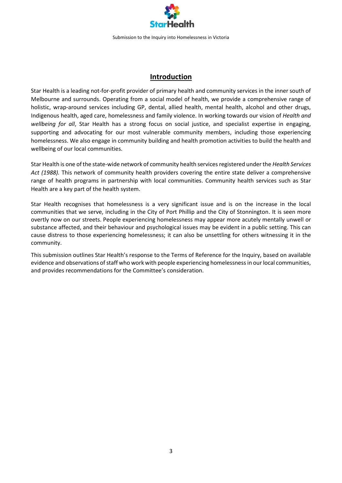

## **Introduction**

Star Health is a leading not-for-profit provider of primary health and community services in the inner south of Melbourne and surrounds. Operating from a social model of health, we provide a comprehensive range of holistic, wrap-around services including GP, dental, allied health, mental health, alcohol and other drugs, Indigenous health, aged care, homelessness and family violence. In working towards our vision of *Health and wellbeing for all*, Star Health has a strong focus on social justice, and specialist expertise in engaging, supporting and advocating for our most vulnerable community members, including those experiencing homelessness. We also engage in community building and health promotion activities to build the health and wellbeing of our local communities.

Star Health is one of the state-wide network of community health services registered under the *Health Services Act (1988).* This network of community health providers covering the entire state deliver a comprehensive range of health programs in partnership with local communities. Community health services such as Star Health are a key part of the health system.

Star Health recognises that homelessness is a very significant issue and is on the increase in the local communities that we serve, including in the City of Port Phillip and the City of Stonnington. It is seen more overtly now on our streets. People experiencing homelessness may appear more acutely mentally unwell or substance affected, and their behaviour and psychological issues may be evident in a public setting. This can cause distress to those experiencing homelessness; it can also be unsettling for others witnessing it in the community.

This submission outlines Star Health's response to the Terms of Reference for the Inquiry, based on available evidence and observations of staff who work with people experiencing homelessness in our local communities, and provides recommendations for the Committee's consideration.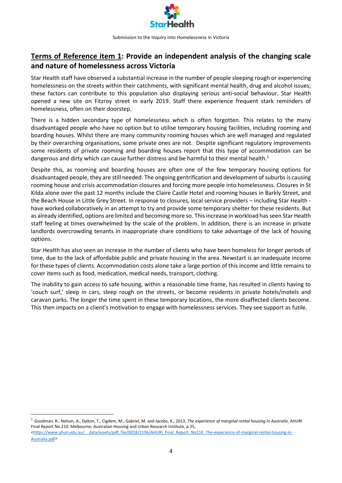

## **Terms of Reference item 1: Provide an independent analysis of the changing scale and nature of homelessness across Victoria**

Star Health staff have observed a substantial increase in the number of people sleeping rough or experiencing homelessness on the streets within their catchments, with significant mental health, drug and alcohol issues; these factors can contribute to this population also displaying serious anti-social behaviour. Star Health opened a new site on Fitzroy street in early 2019. Staff there experience frequent stark reminders of homelessness, often on their doorstep.

There is a hidden secondary type of homelessness which is often forgotten. This relates to the many disadvantaged people who have no option but to utilise temporary housing facilities, including rooming and boarding houses. Whilst there are many community rooming houses which are well managed and regulated by their overarching organisations, some private ones are not. Despite significant regulatory improvements some residents of private rooming and boarding houses report that this type of accommodation can be dangerous and dirty which can cause further distress and be harmful to their mental health.<sup>1</sup>

Despite this, as rooming and boarding houses are often one of the few temporary housing options for disadvantaged people, they are still needed. The ongoing gentrification and development of suburbs is causing rooming house and crisis accommodation closures and forcing more people into homelessness. Closures in St Kilda alone over the past 12 months include the Claire Castle Hotel and rooming houses in Barkly Street, and the Beach House in Little Grey Street. In response to closures, local service providers – including Star Health have worked collaboratively in an attempt to try and provide some temporary shelter for these residents. But as already identified, options are limited and becoming more so. This increase in workload has seen Star Health staff feeling at times overwhelmed by the scale of the problem. In addition, there is an increase in private landlords overcrowding tenants in inappropriate share conditions to take advantage of the lack of housing options.

Star Health has also seen an increase in the number of clients who have been homeless for longer periods of time, due to the lack of affordable public and private housing in the area. Newstart is an inadequate income for these types of clients. Accommodation costs alone take a large portion of this income and little remains to cover items such as food, medication, medical needs, transport, clothing.

The inability to gain access to safe housing, within a reasonable time frame, has resulted in clients having to 'couch surf,' sleep in cars, sleep rough on the streets, or become residents in private hotels/motels and caravan parks. The longer the time spent in these temporary locations, the more disaffected clients become. This then impacts on a client's motivation to engage with homelessness services. They see support as futile.

<sup>1</sup> Goodman, R., Nelson, A., Dalton, T., Cigdem, M., Gabriel, M. and Jacobs, K., 2013, *The experience of marginal rental housing in Australia*, AHURI Final Report No.210. Melbourne: Australian Housing and Urban Research Institute, p 25,

**.** 

<sup>&</sup>lt;https://www.ahuri.edu.au/ data/assets/pdf\_file/0018/2196/AHURI\_Final\_Report\_No210\_The-experience-of-marginal-rental-housing-in-[Australia.pdf](https://www.ahuri.edu.au/__data/assets/pdf_file/0018/2196/AHURI_Final_Report_No210_The-experience-of-marginal-rental-housing-in-Australia.pdf)>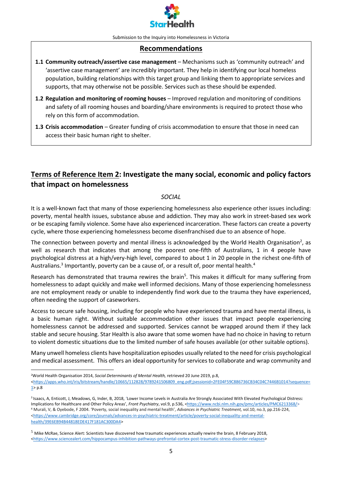

#### **Recommendations**

- **1.1 Community outreach/assertive case management** Mechanisms such as 'community outreach' and 'assertive case management' are incredibly important. They help in identifying our local homeless population, building relationships with this target group and linking them to appropriate services and supports, that may otherwise not be possible. Services such as these should be expended.
- **1.2 Regulation and monitoring of rooming houses** Improved regulation and monitoring of conditions and safety of all rooming houses and boarding/share environments is required to protect those who rely on this form of accommodation.
- **1.3 Crisis accommodation** Greater funding of crisis accommodation to ensure that those in need can access their basic human right to shelter.

## **Terms of Reference Item 2: Investigate the many social, economic and policy factors that impact on homelessness**

#### *SOCIAL*

It is a well-known fact that many of those experiencing homelessness also experience other issues including: poverty, mental health issues, substance abuse and addiction. They may also work in street-based sex work or be escaping family violence. Some have also experienced incarceration. These factors can create a poverty cycle, where those experiencing homelessness become disenfranchised due to an absence of hope.

The connection between poverty and mental illness is acknowledged by the World Health Organisation<sup>2</sup>, as well as research that indicates that among the poorest one-fifth of Australians, 1 in 4 people have psychological distress at a high/very-high level, compared to about 1 in 20 people in the richest one-fifth of Australians.<sup>3</sup> Importantly, poverty can be a cause of, or a result of, poor mental health.<sup>4</sup>

Research has demonstrated that trauma rewires the brain<sup>5</sup>. This makes it difficult for many suffering from homelessness to adapt quickly and make well informed decisions. Many of those experiencing homelessness are not employment ready or unable to independently find work due to the trauma they have experienced, often needing the support of caseworkers.

Access to secure safe housing, including for people who have experienced trauma and have mental illness, is a basic human right. Without suitable accommodation other issues that impact people experiencing homelessness cannot be addressed and supported. Services cannot be wrapped around them if they lack stable and secure housing. Star Health is also aware that some women have had no choice in having to return to violent domestic situations due to the limited number of safe houses available (or other suitable options).

Many unwell homeless clients have hospitalization episodes usually related to the need for crisis psychological and medical assessment. This offers an ideal opportunity for services to collaborate and wrap community and

<sup>2</sup>World Health Organisation 2014, *Social Determinants of Mental Health,* retrieved 20 June 2019, p.8,

 $\overline{a}$ 

[<https://apps.who.int/iris/bitstream/handle/10665/112828/9789241506809\\_eng.pdf;jsessionid=2FE04F59C886736CB34C04C7446B1014?sequence=](https://apps.who.int/iris/bitstream/handle/10665/112828/9789241506809_eng.pdf;jsessionid=2FE04F59C886736CB34C04C7446B1014?sequence=1)  $1$  p.8

3 Isaacs, A, Enticott, J, Meadows, G, Inder, B, 2018, 'Lower Income Levels in Australia Are Strongly Associated With Elevated Psychological Distress: Implications for Healthcare and Other Policy Areas', *Front Psychiatry*, vol.9, p.536, [<https://www.ncbi.nlm.nih.gov/pmc/articles/PMC6213368/>](https://www.ncbi.nlm.nih.gov/pmc/articles/PMC6213368/) <sup>4</sup> Murali, V, & Oyebode, F 2004. 'Poverty, social inequality and mental health', *Advances in Psychiatric Treatment,* vol.10, no*.*3, pp.216-224, [<https://www.cambridge.org/core/journals/advances-in-psychiatric-treatment/article/poverty-social-inequality-and-mental](https://www.cambridge.org/core/journals/advances-in-psychiatric-treatment/article/poverty-social-inequality-and-mental-health/39E6EB94B44818EDE417F181AC300DA4)[health/39E6EB94B44818EDE417F181AC300DA4>](https://www.cambridge.org/core/journals/advances-in-psychiatric-treatment/article/poverty-social-inequality-and-mental-health/39E6EB94B44818EDE417F181AC300DA4)

 $5$  Mike McRae, Science Alert: Scientists have discovered how traumatic experiences actually rewire the brain, 8 February 2018, [<https://www.sciencealert.com/hippocampus-inhibition-pathways-prefrontal-cortex-post-traumatic-stress-disorder-relapses>](https://www.sciencealert.com/hippocampus-inhibition-pathways-prefrontal-cortex-post-traumatic-stress-disorder-relapses)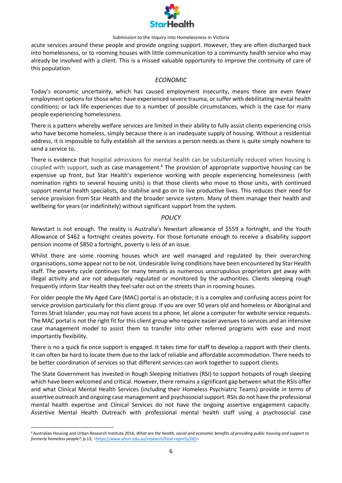

acute services around these people and provide ongoing support. However, they are often discharged back into homelessness, or to rooming houses with little communication to a community health service who may already be involved with a client. This is a missed valuable opportunity to improve the continuity of care of this population.

#### *ECONOMIC*

Today's economic uncertainty, which has caused employment insecurity, means there are even fewer employment options for those who: have experienced severe trauma, or suffer with debilitating mental health conditions; or lack life experiences due to a number of possible circumstances, which is the case for many people experiencing homelessness.

There is a pattern whereby welfare services are limited in their ability to fully assist clients experiencing crisis who have become homeless, simply because there is an inadequate supply of housing. Without a residential address, it is impossible to fully establish all the services a person needs as there is quite simply nowhere to send a service to.

There is evidence that hospital admissions for mental health can be substantially reduced when housing is coupled with support, such as case management.<sup>6</sup> The provision of appropriate supportive housing can be expensive up front, but Star Health's experience working with people experiencing homelessness (with nomination rights to several housing units) is that those clients who move to those units, with continued support mental health specialists, do stabilise and go on to live productive lives. This reduces their need for service provision from Star Health and the broader service system. Many of them manage their health and wellbeing for years (or indefinitely) without significant support from the system.

#### *POLICY*

Newstart is not enough. The reality is Australia's Newstart allowance of \$559 a fortnight, and the Youth Allowance of \$462 a fortnight creates poverty. For those fortunate enough to receive a disability support pension income of \$850 a fortnight, poverty is less of an issue.

Whilst there are some rooming houses which are well managed and regulated by their overarching organisations, some appear not to be not. Undesirable living conditions have been encountered by Star Health staff. The poverty cycle continues for many tenants as numerous unscrupulous proprietors get away with illegal activity and are not adequately regulated or monitored by the authorities. Clients sleeping rough frequently inform Star Health they feel safer out on the streets than in rooming houses.

For older people the My Aged Care (MAC) portal is an obstacle; it is a complex and confusing access point for service provision particularly for this client group. If you are over 50 years old and homeless or Aboriginal and Torres Strait Islander, you may not have access to a phone, let alone a computer for website service requests. The MAC portal is not the right fit for this client group who require easier avenues to services and an intensive case management model to assist them to transfer into other referred programs with ease and most importantly flexibility.

There is no a quick fix once support is engaged. It takes time for staff to develop a rapport with their clients. It can often be hard to locate them due to the lack of reliable and affordable accommodation. There needs to be better coordination of services so that different services can work together to support clients.

The State Government has invested in Rough Sleeping Initiatives (RSI) to support hotspots of rough sleeping which have been welcomed and critical. However, there remains a significant gap between what the RSIs offer and what Clinical Mental Health Services (including their Homeless Psychiatric Teams) provide in terms of assertive outreach and ongoing case management and psychosocial support. RSIs do not have the professional mental health expertise and Clinical Services do not have the ongoing assertive engagement capacity. Assertive Mental Health Outreach with professional mental health staff using a psychosocial case

 $\overline{a}$ 

<sup>6</sup> Australian Housing and Urban Research Institute 2016, *What are the health, social and economic benefits of providing public housing and support to*  formerly homeless people?, p.13, [<https://www.ahuri.edu.au/research/final-reports/265>](https://www.ahuri.edu.au/research/final-reports/265)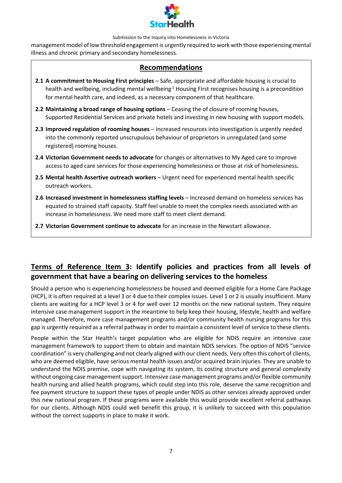

management model of low threshold engagement is urgently required to work with those experiencing mental illness and chronic primary and secondary homelessness.

### **Recommendations**

- **2.1 A commitment to Housing First principles** Safe, appropriate and affordable housing is crucial to health and wellbeing, including mental wellbeing.<sup>1</sup> Housing First recognises housing is a precondition for mental health care, and indeed, as a necessary component of that healthcare.
- **2.2 Maintaining a broad range of housing options** Ceasing the of closure of rooming houses, Supported Residential Services and private hotels and investing in new housing with support models.
- **2.3 Improved regulation of rooming houses** Increased resources into investigation is urgently needed into the commonly reported unscrupulous behaviour of proprietors in unregulated (and some registered) rooming houses.
- **2.4 Victorian Government needs to advocate** for changes or alternatives to My Aged care to improve access to aged care services for those experiencing homelessness or those at risk of homelessness**.**
- **2.5 Mental health Assertive outreach workers** Urgent need for experienced mental health specific outreach workers.
- **2.6 Increased investment in homelessness staffing levels** Increased demand on homeless services has equated to strained staff capacity. Staff feel unable to meet the complex needs associated with an increase in homelessness. We need more staff to meet client demand.
- **2.7 Victorian Government continue to advocate** for an increase in the Newstart allowance.

## **Terms of Reference Item 3: Identify policies and practices from all levels of government that have a bearing on delivering services to the homeless**

Should a person who is experiencing homelessness be housed and deemed eligible for a Home Care Package (HCP), it is often required at a level 3 or 4 due to their complex issues. Level 1 or 2 is usually insufficient. Many clients are waiting for a HCP level 3 or 4 for well over 12 months on the new national system. They require intensive case management support in the meantime to help keep their housing, lifestyle, health and welfare managed. Therefore, more case management programs and/or community health nursing programs for this gap is urgently required as a referral pathway in order to maintain a consistent level of service to these clients.

People within the Star Health's target population who are eligible for NDIS require an intensive case management framework to support them to obtain and maintain NDIS services. The option of NDIS "service coordination" is very challenging and not clearly aligned with our client needs. Very often this cohort of clients, who are deemed eligible, have serious mental health issues and/or acquired brain injuries. They are unable to understand the NDIS premise, cope with navigating its system, its costing structure and general complexity without ongoing case management support. Intensive case management programs and/or flexible community health nursing and allied health programs, which could step into this role, deserve the same recognition and fee payment structure to support these types of people under NDIS as other services already approved under this new national program. If these programs were available this would provide excellent referral pathways for our clients. Although NDIS could well benefit this group, it is unlikely to succeed with this population without the correct supports in place to make it work.